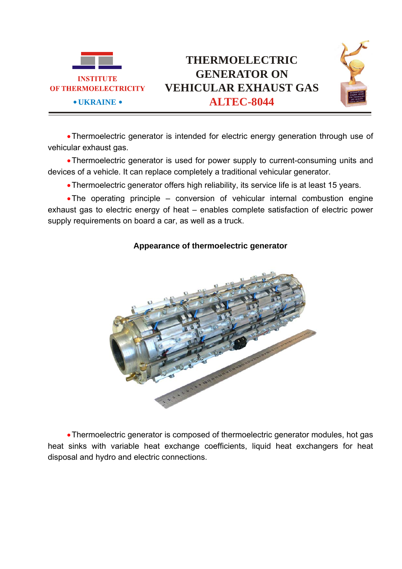



•Thermoelectric generator is intended for electric energy generation through use of vehicular exhaust gas.

•Thermoelectric generator is used for power supply to current-consuming units and devices of a vehicle. It can replace completely a traditional vehicular generator.

•Thermoelectric generator offers high reliability, its service life is at least 15 years.

•The operating principle – conversion of vehicular internal combustion engine exhaust gas to electric energy of heat – enables complete satisfaction of electric power supply requirements on board a car, as well as a truck.



## **Appearance of thermoelectric generator**

•Thermoelectric generator is composed of thermoelectric generator modules, hot gas heat sinks with variable heat exchange coefficients, liquid heat exchangers for heat disposal and hydro and electric connections.